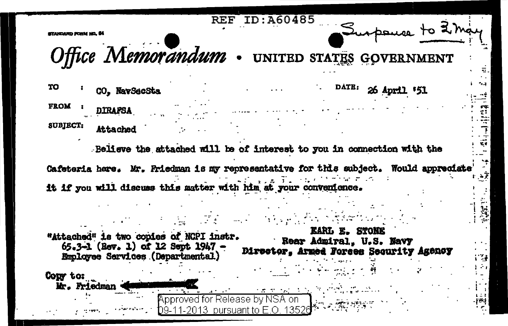**REF ID: A60485** 

pouse to Zmay

KANDARID PORM NO.

Office Memorandum . UNITED STATES GOVERNMENT

**TO** DATE: 26 April '51 CO. NavSecSta **FROM DIRAFSA SUBJECT:** Attached

Believe the attached will be of interest to you in connection with the

Cafeteria here. Mr. Friedman is my representative for this subject. Would appreciate  $\mathcal{L}$  , and  $\mathcal{L}$ it if you will discuss this matter with him at your convenience.

**EARL E. STONE** "Attached" is two copies of NCPI instr. Rear Admiral, U.S. Navy  $65.3 - 1$  (Rev. 1) of 12 Sept 1947 -Director, Armed Forces Security Agency **Employee Services (Departmental)** 

Copy to: Mr. Friedman

**Service** State Approved for Release by NSA on 09-11-2013 pursuant to E.O. 13526

and The Company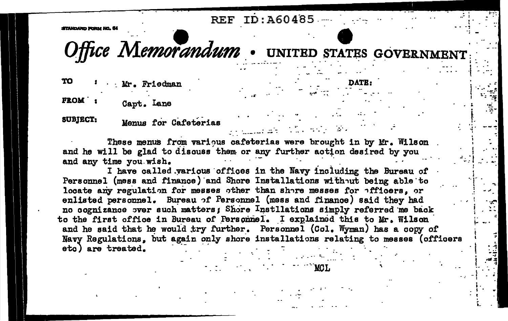REF ID:A60485

DATE:

**STANDARD PORM M** 

Office Memorandum . UNITED STATES GOVERNMENT

**TO** Mr. Friedman

FROM : Capt. Lane

**SUBJECT:** Menus for Cafeterias

These menus from various cafeterias were brought in by Mr. Wilson. and he will be glad to discuss them or any further action desired by you and any time you wish.

I have called various offices in the Navy including the Bureau of Personnel (mess and finance) and Shore Installations without being able to locate any regulation for messes other than shore messes for officers, or enlisted personnel. Bureau of Personnel (mess and finance) said they had no cognizance over such matters; Shore Instilations simply referred me back to the first office in Bureau of Fersonnel. I explained this to Mr. Wilson and he said that he would try further. Personnel (Col. Wyman) has a copy of Navy Regulations, but again only shore installations relating to messes (officers eto) are treated.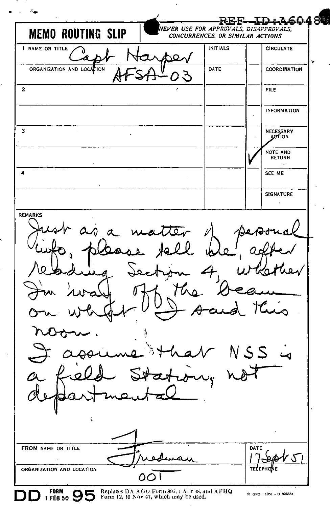К. **MEMO ROUTING SLIP WEVER USE FOR APPROVALS, DISAPPROVALS, <b>NEVER USE FOR APPROVALS**, DISAPPROVALS, *CONCURRENCES, OR SIMILAR ACTIONS*  1 NAME OR TITLE INITIALS CIRCULATE DATE COORDINATION ORGANIZATION AND LOCA **ION** 2 **2** FILE INFORMATION 3 NECESSARY NOTE AND **RETURN 4** SEE ME **SIGNATURE** REMARKS ਨ  $\alpha$ *Crv-* noon.  $\Rightarrow$  assument that NSS is e Than NS<br>Station, not FROM NAME OR TITLE DATE d A ORGANIZATION AND LOCATION **001 PORM**<br>1 FEB 50 9 Replaces DA AGO Form 895, I Apr 48, and AFHQ  $\frac{4}{5}$  GPO : 1951 - 0 925564<br>Form 12, 10 Nov 47, which may be used.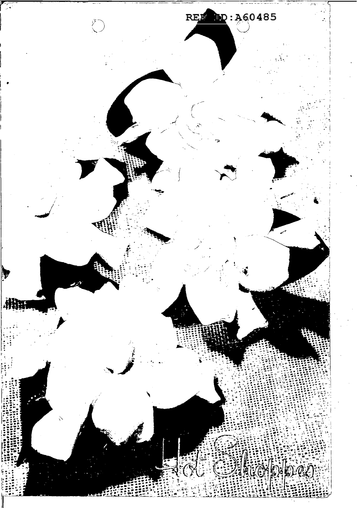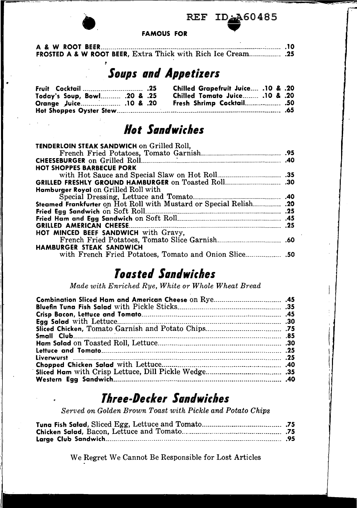

REF ID<sub>40</sub>460485 REF ID<sub>an</sub>A6<br>FAMOUS FOR

| FROSTED A & W ROOT BEER, Extra Thick with Rich Ice Cream 25 |  |
|-------------------------------------------------------------|--|

## **Soups and Appetizers**

|                                 | Chilled Grapefruit Juice .10 & .20 |
|---------------------------------|------------------------------------|
| 75. Today's Soup, Bowl 30 & 35. | 20. Chilled Tomato Juice .10 & .20 |
|                                 | <b>Fresh Shrimp Cocktail .50</b>   |
|                                 |                                    |

## **Hot Sandwiches**

| TENDERLOIN STEAK SANDWICH on Grilled Roll,                               |  |
|--------------------------------------------------------------------------|--|
|                                                                          |  |
|                                                                          |  |
| <b>HOT SHOPPES BARBECUE PORK</b>                                         |  |
|                                                                          |  |
|                                                                          |  |
| Hamburger Royal on Grilled Roll with                                     |  |
| Special Dressing, Lettuce and Tomato.                                    |  |
| <b>Steamed Frankfurter</b> on Hot Roll with Mustard or Special Relish 20 |  |
| Fried Egg Sandwich on Soft Roll.                                         |  |
|                                                                          |  |
| <b>GRILLED AMERICAN CHEESE.</b>                                          |  |
| HOT MINCED BEEF SANDWICH with Gravy,                                     |  |
|                                                                          |  |
| HAMBURGER STEAK SANDWICH                                                 |  |
|                                                                          |  |

## *Toasted Sandwiches*

*Made with Enriched Rye, White or Whole Wheat Bread* 

## *Tilree-Decker Santlwiclles*

*Served on Golden Brown Toast with Pickle and Potato Chips* 

We Regret We Cannot Be Responsible for Lost Articles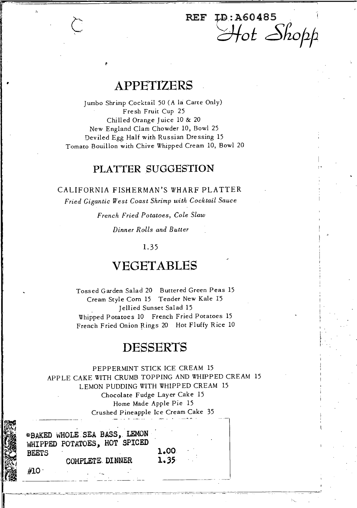## **APPETIZERS**

ID: A60485

Hot Shopp

**REF** 

Jumbo Shrimp Cocktail 50 (A la Carte Only) Fresh Fruit Cup 25 Chilled Orange Juice 10 & 20 New England Clam Chowder 10, Bowl 25 Deviled Egg Half with Russian Dressing 15 Tomato Bouillon with Chive Whipped Cream 10, Bowl 20

### PLATTER SUGGESTION

CALIFORNIA FISHERMAN'S WHARF PLATTER Fried Gigantic West Coast Shrimp with Cocktail Sauce

French Fried Potatoes, Cole Slaw

Dinner Rolls and Butter

#### 1.35

## **VEGETABLES**

Tossed Garden Salad 20 Buttered Green Peas 15 Cream Style Corn 15 Tender New Kale 15 Jellied Sunset Salad 15 Whipped Potatoes 10 French Fried Potatoes 15 French Fried Onion Rings 20 Hot Fluffy Rice 10

## **DESSERTS**

PEPPERMINT STICK ICE CREAM 15 APPLE CAKE WITH CRUMB TOPPING AND WHIPPED CREAM 15 LEMON PUDDING WITH WHIPPED CREAM 15 Chocolate Fudge Layer Cake 15 Home Made Apple Pie 15 Crushed Pineapple Ice Cream Cake 35

\*BAKED WHOLE SEA BASS, LEMON WHIPPED POTATOES, HOT SPICED 1.00 **BEETS**  $1.35$ COMPLETE DINNER  $#10$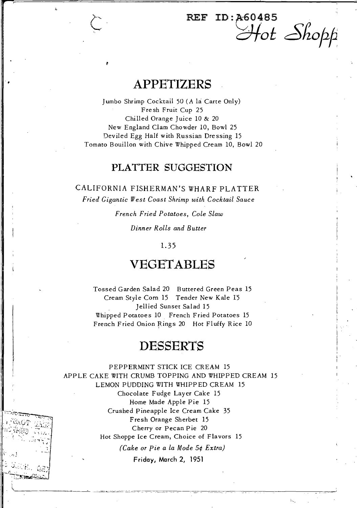#### REF ID:A60485

*'8-fot* c:Shopp

I. I

## APPETIZERS

..

Jumbo Shrimp Cocktail 50 (A la Carte Only) Fresh Fruit Cup 25 Chilled Orange Juice 10 & 20 New England Clam Chowder 10, Bowl 25 Deviled Egg Half with Russian Dressing 15 Tomato Bouillon with Chive Whipped Cream 10, Bowl 20

#### PLATTER SUGGESTION

CALIFORNIA FISHERMAN'S WHARF PLATTER *Fried Gigantic West Coast Shrimp with Cocktail Sauce* 

*French Fried Potatoes, Cole Slaw* 

*Dinner Rolls and Butter* 

#### 1.35

## VEGETABLES

Tossed Garden Salad 20 Buttered Green Peas 15 Cream Style Corn 15 Tender New Kale 15 Jellied Sunset Salad 15 Whipped Potatoes IO French Fried Potatoes 15 French Fried Onion Rings 20 Hot Fluffy Rice 10

## DESSERTS

PEPPERMINT STICK ICE CREAM 15 APPLE CAKE WITH CRUMB TOPPING AND WHIPPED CREAM 15 LEMON PUDDING WITH WHIPPED CREAM 15 Chocolate Fudge Layer Cake 15 Home Made Apple Pie 15 Crushed Pineapple Ice Cream Cake 35 Fresh Orange Sherbet 15 Cherry or Pecan Pie 20 Hot Shoppe Ice Cream, Choice of Flavors 15 *(Cake or Pie a la Mode 5¢ Extra}*  Friday, March 2, 1951

l~-- ------~- -~ --- - -- -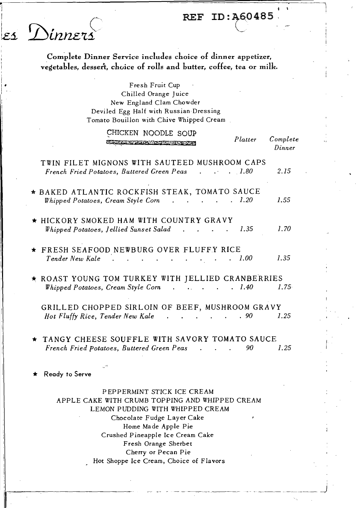## REF ID: A60485

"-~

--------- \_\_\_\_\_\_\_ j

l I

I  $\vert$  .  $22$ 

**।**<br>!

I i 1 •.

II

Complete Dinner Service includes choice of dinner appetizer, vegetables, dessert, choice of rolls and butter, coffee, tea or milk.

> Fresh Fruic Cup Chilled Orange Juice New England Clam Chowder Deviled Egg Half wich Russian Dressing Tomato Bouillon with Chive Whipped Cream

| CHICKEN NOODLE SOUP<br><u> Első a Tagja – A Tementeszere</u>                                                                                                                                                                                                                                         | Platter  | Complete<br>Dinner |
|------------------------------------------------------------------------------------------------------------------------------------------------------------------------------------------------------------------------------------------------------------------------------------------------------|----------|--------------------|
| TWIN FILET MIGNONS WITH SAUTEED MUSHROOM CAPS<br>French Fried Potatoes, Buttered Green Peas<br>$\mathcal{L}^{(1)}$ and $\mathcal{L}^{(2)}$<br>$\mathbf{A}$                                                                                                                                           | . 1.80   | 2.15               |
| * BAKED ATLANTIC ROCKFISH STEAK, TOMATO SAUCE<br>Whipped Potatoes, Cream Style Corn<br>$\sim$<br>$\mathbf{r}$                                                                                                                                                                                        | 1.20     | 1.55               |
| * HICKORY SMOKED HAM WITH COUNTRY GRAVY<br>Whipped Potatoes, Jellied Sunset Salad                                                                                                                                                                                                                    | 1.35     | 1.70               |
| * FRESH SEAFOOD NEWBURG OVER FLUFFY RICE<br>Tender New Kale                                                                                                                                                                                                                                          | 1.00     | 1.35               |
| * ROAST YOUNG TOM TURKEY WITH JELLIED CRANBERRIES<br>Whipped Potatoes, Cream Style Corn<br><b>Contract Contract Contract</b><br>$\sim$                                                                                                                                                               | $\,1.40$ | 1.75               |
| GRILLED CHOPPED SIRLOIN OF BEEF, MUSHROOM GRAVY<br>Hot Fluffy Rice, Tender New Kale<br>$\mathbf{r}$ , $\mathbf{r}$ , $\mathbf{r}$                                                                                                                                                                    | . 90     | 1.25               |
| TANGY CHEESE SOUFFLE WITH SAVORY TOMATO SAUCE<br>French Fried Potatoes, Buttered Green Peas                                                                                                                                                                                                          | 90       | 1.25               |
| 48<br>Ready to Serve                                                                                                                                                                                                                                                                                 |          |                    |
| PEPPERMINT STICK ICE CREAM<br>APPLE CAKE WITH CRUMB TOPPING AND WHIPPED CREAM<br>LEMON PUDDING WITH WHIPPED CREAM<br>Chocolate Fudge Layer Cake<br>Home Made Apple Pie<br>Crushed Pineapple Ice Cream Cake<br>Fresh Orange Sherbet<br>Cherry or Pecan Pie<br>Hot Shoppe Ice Cream, Choice of Flavors |          |                    |